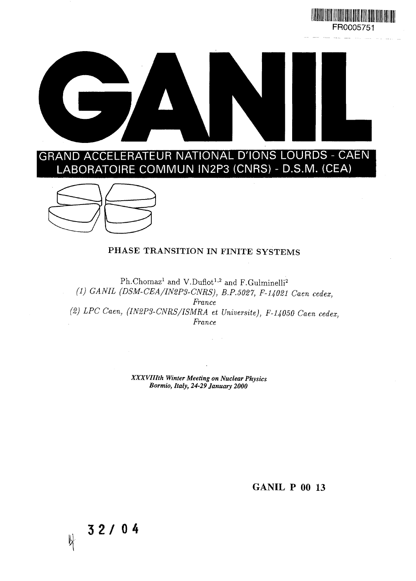





**3 2 / 04**

 $\mathbb{R}$ 

#### **PHASE TRANSITION IN FINITE SYSTEMS**

Ph.Chomaz<sup>1</sup> and V.Duflot<sup>1,2</sup> and F.Gulminelli<sup>2</sup> *(1) GANIL (DSM-CEA/IN2P3-CNRS), B.P.5027, F-U021 Caen cedex, France (2) LPC Caen, (IN2P3-CNRS/ISMRA et Universite), F-14050 Caen cedex, France*

> *XXXVIIIth Winter Meeting on Nuclear Physics Bormio, Italy, 24-29 January 2000*

> > GANIL P 00 13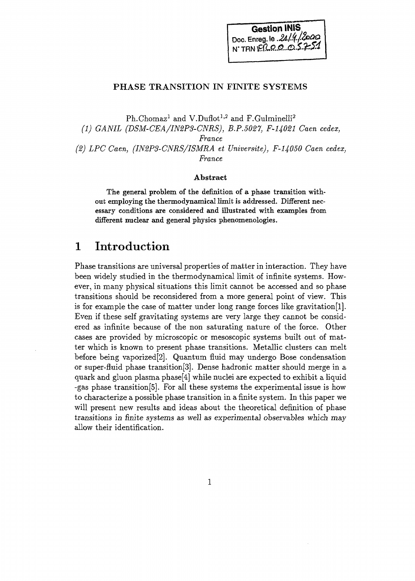

#### **PHASE TRANSITION IN FINITE SYSTEMS**

 $\rm Ph. Chomaz^1$  and  $\rm V. Duflot^{1,2}$  and  $\rm F. Gulminelli^2$ *(1) GANIL (DSM-CEA/IN2PS-CNRS), B.P.5027, F-U021 Caen cedex, France (2) LPC Caen, (IN2P3-CNRS/ISMRA et Universite), F-14050 Caen cedex, France*

#### **Abstract**

The general problem of the definition of a phase transition without employing the thermodynamical limit is addressed. Different necessary conditions are considered and illustrated with examples from different nuclear and general physics phenomenologies.

# 1 Introduction

Phase transitions are universal properties of matter in interaction. They have been widely studied in the thermodynamical limit of infinite systems. However, in many physical situations this limit cannot be accessed and so phase transitions should be reconsidered from a more general point of view. This is for example the case of matter under long range forces like gravitation[1]. Even if these self gravitating systems are very large they cannot be considered as infinite because of the non saturating nature of the force. Other cases are provided by microscopic or mesoscopic systems built out of matter which is known to present phase transitions. Metallic clusters can melt before being vaporized[2]. Quantum fluid may undergo Bose condensation or super-fluid phase transition[3]. Dense hadronic matter should merge in a quark and gluon plasma phase[4] while nuclei are expected to exhibit a liquid -gas phase transition[5]. For all these systems the experimental issue is how to characterize a possible phase transition in a finite system. In this paper we will present new results and ideas about the theoretical definition of phase transitions in finite systems as well as experimental observables which may allow their identification.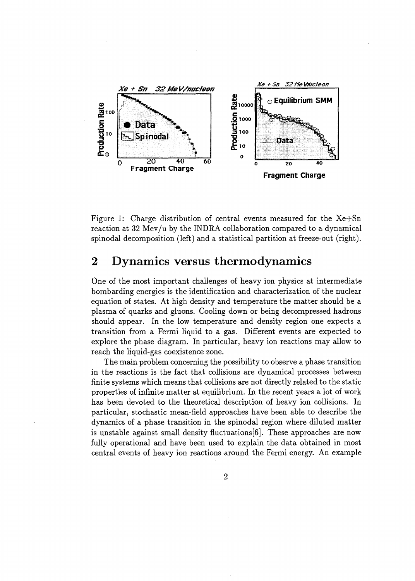

Figure 1: Charge distribution of central events measured for the Xe+Sn reaction at 32 Mev/u by the INDRA collaboration compared to a dynamical spinodal decomposition (left) and a statistical partition at freeze-out (right).

# 2 Dynamics versus thermodynamics

One of the most important challenges of heavy ion physics at intermediate bombarding energies is the identification and characterization of the nuclear equation of states. At high density and temperature the matter should be a plasma of quarks and gluons. Cooling down or being decompressed hadrons should appear. In the low temperature and density region one expects a transition from a Fermi liquid to a gas. Different events are expected to explore the phase diagram. In particular, heavy ion reactions may allow to reach the liquid-gas coexistence zone.

The main problem concerning the possibility to observe a phase transition in the reactions is the fact that collisions are dynamical processes between finite systems which means that collisions are not directly related to the static properties of infinite matter at equilibrium. In the recent years a lot of work has been devoted to the theoretical description of heavy ion collisions. In particular, stochastic mean-field approaches have been able to describe the dynamics of a phase transition in the spinodal region where diluted matter is unstable against small density fluctuations [6]. These approaches are now fully operational and have been used to explain the data obtained in most central events of heavy ion reactions around the Fermi energy. An example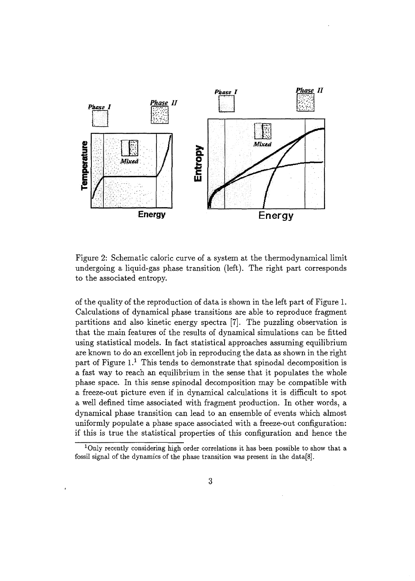

Figure 2: Schematic caloric curve of a system at the thermodynamical limit undergoing a liquid-gas phase transition (left). The right part corresponds to the associated entropy.

of the quality of the reproduction of data is shown in the left part of Figure 1. Calculations of dynamical phase transitions are able to reproduce fragment partitions and also kinetic energy spectra [7]. The puzzling observation is that the main features of the results of dynamical simulations can be fitted using statistical models. In fact statistical approaches assuming equilibrium are known to do an excellent job in reproducing the data as shown in the right part of Figure 1.<sup>1</sup> This tends to demonstrate that spinodal decomposition is a fast way to reach an equilibrium in the sense that it populates the whole phase space. In this sense spinodal decomposition may be compatible with a freeze-out picture even if in dynamical calculations it is difficult to spot a well defined time associated with fragment production. In other words, a dynamical phase transition can lead to an ensemble of events which almost uniformly populate a phase space associated with a freeze-out configuration: if this is true the statistical properties of this configuration and hence the

<sup>&</sup>lt;sup>1</sup>Only recently considering high order correlations it has been possible to show that a fossil signal of the dynamics of the phase transition was present in the data[8].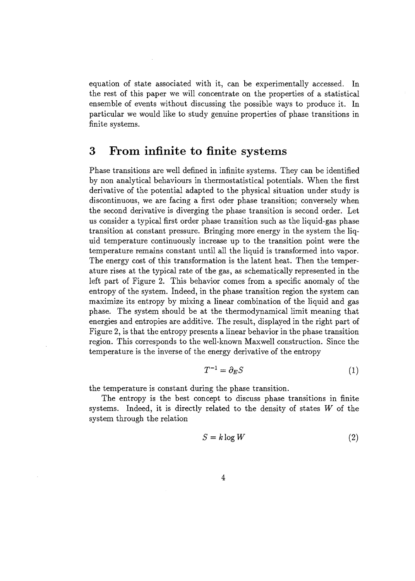equation of state associated with it, can be experimentally accessed. In the rest of this paper we will concentrate on the properties of a statistical ensemble of events without discussing the possible ways to produce it. In particular we would like to study genuine properties of phase transitions in finite systems.

#### 3 From infinite to finite systems

Phase transitions are well defined in infinite systems. They can be identified by non analytical behaviours in thermostatistical potentials. When the first derivative of the potential adapted to the physical situation under study is discontinuous, we are facing a first oder phase transition; conversely when the second derivative is diverging the phase transition is second order. Let us consider a typical first order phase transition such as the liquid-gas phase transition at constant pressure. Bringing more energy in the system the liquid temperature continuously increase up to the transition point were the temperature remains constant until all the liquid is transformed into vapor. The energy cost of this transformation is the latent heat. Then the temperature rises at the typical rate of the gas, as schematically represented in the left part of Figure 2. This behavior comes from a specific anomaly of the entropy of the system. Indeed, in the phase transition region the system can maximize its entropy by mixing a linear combination of the liquid and gas phase. The system should be at the thermodynamical limit meaning that energies and entropies are additive. The result, displayed in the right part of Figure 2, is that the entropy presents a linear behavior in the phase transition region. This corresponds to the well-known Maxwell construction. Since the temperature is the inverse of the energy derivative of the entropy

$$
T^{-1} = \partial_E S \tag{1}
$$

the temperature is constant during the phase transition.

The entropy is the best concept to discuss phase transitions in finite systems. Indeed, it is directly related to the density of states *W* of the system through the relation

$$
S = k \log W \tag{2}
$$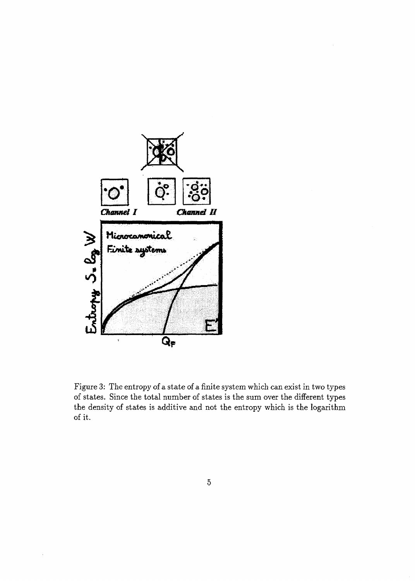

Figure 3: The entropy of a state of a finite system which can exist in two types of states. Since the total number of states is the sum over the different types the density of states is additive and not the entropy which is the logarithm of it.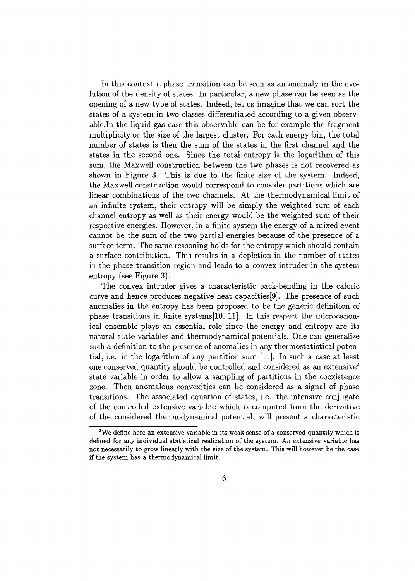In this context a phase transition can be seen as an anomaly in the evolution of the density of states. In particular, a new phase can be seen as the opening of a new type of states. Indeed, let us imagine that we can sort the states of a system in two classes differentiated according to a given observable.In the liquid-gas case this observable can be for example the fragment multiplicity or the size of the largest cluster. For each energy bin, the total number of states is then the sum of the states in the first channel and the states in the second one. Since the total entropy is the logarithm of this sum, the Maxwell construction between the two phases is not recovered as shown in Figure 3. This is due to the finite size of the system. Indeed, the Maxwell construction would correspond to consider partitions which are linear combinations of the two channels. At the thermodynamical limit of an infinite system, their entropy will be simply the weighted sum of each channel entropy as well as their energy would be the weighted sum of their respective energies. However, in a finite system the energy of a mixed event cannot be the sum of the two partial energies because of the presence of a surface term. The same reasoning holds for the entropy which should contain a surface contribution. This results in a depletion in the number of states in the phase transition region and leads to a convex intruder in the system entropy (see Figure 3).

The convex intruder gives a characteristic back-bending in the caloric curve and hence produces negative heat capacities [9]. The presence of such anomalies in the entropy has been proposed to be the generic definition of phase transitions in finite systems[10, 11]. In this respect the microcanonical ensemble plays an essential role since the energy and entropy are its natural state variables and thermodynamical potentials. One can generalize such a definition to the presence of anomalies in any thermostatistical potential, i.e. in the logarithm of any partition sum [11]. In such a case at least one conserved quantity should be controlled and considered as an extensive<sup>2</sup> state variable in order to allow a sampling of partitions in the coexistence zone. Then anomalous convexities can be considered as a signal of phase transitions. The associated equation of states, i.e. the intensive conjugate of the controlled extensive variable which is computed from the derivative of the considered thermodynamical potential, will present a characteristic

 $^{2}$ We define here an extensive variable in its weak sense of a conserved quantity which is defined for any individual statistical realization of the system. An extensive variable has not necessarily to grow linearly with the size of the system. This will however be the case if the system has a thermodynamical limit.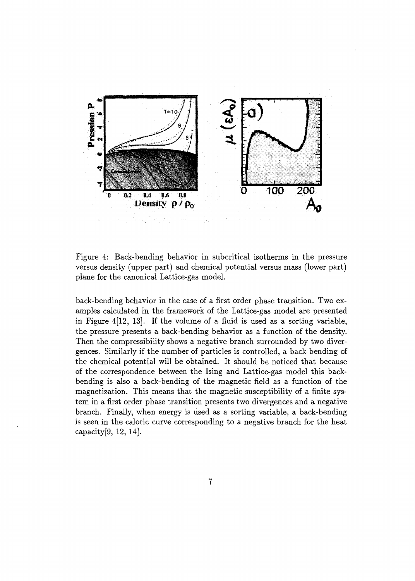

Figure 4: Back-bending behavior in subcritical isotherms in the pressure versus density (upper part) and chemical potential versus mass (lower part) plane for the canonical Lattice-gas model.

back-bending behavior in the case of a first order phase transition. Two examples calculated in the framework of the Lattice-gas model are presented in Figure 4[12, 13]. If the volume of a fluid is used as a sorting variable, the pressure presents a back-bending behavior as a function of the density. Then the compressibility shows a negative branch surrounded by two divergences. Similarly if the number of particles is controlled, a back-bending of the chemical potential will be obtained. It should be noticed that because of the correspondence between the Ising and Lattice-gas model this backbending is also a back-bending of the magnetic field as a function of the magnetization. This means that the magnetic susceptibility of a finite system in a first order phase transition presents two divergences and a negative branch. Finally, when energy is used as a sorting variable, a back-bending is seen in the caloric curve corresponding to a negative branch for the heat capacity[9, 12, 14].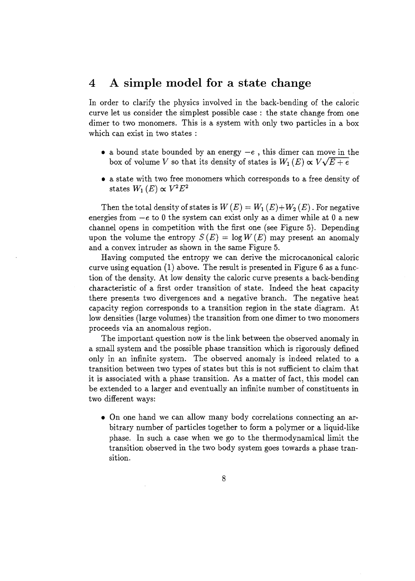## 4 A simple model for a state change

In order to clarify the physics involved in the back-bending of the caloric curve let us consider the simplest possible case : the state change from one dimer to two monomers. This is a system with only two particles in a box which can exist in two states :

- a bound state bounded by an energy  $-e$ , this dimer can move in the box of volume *V* so that its density of states is  $W_1(E) \propto V\sqrt{E+e}$
- a state with two free monomers which corresponds to a free density of  $\mathcal{W}_1(E) \propto V^2 E^2$

Then the total density of states is  $W(E) = W_1(E) + W_2(E)$ . For negative energies from  $-e$  to 0 the system can exist only as a dimer while at 0 a new channel opens in competition with the first one (see Figure 5). Depending upon the volume the entropy  $S(E) = \log W(E)$  may present an anomaly and a convex intruder as shown in the same Figure 5.

Having computed the entropy we can derive the microcanonical caloric curve using equation (1) above. The result is presented in Figure 6 as a function of the density. At low density the caloric curve presents a back-bending characteristic of a first order transition of state. Indeed the heat capacity there presents two divergences and a negative branch. The negative heat capacity region corresponds to a transition region in the state diagram. At low densities (large volumes) the transition from one dimer to two monomers proceeds via an anomalous region.

The important question now is the link between the observed anomaly in a small system and the possible phase transition which is rigorously defined only in an infinite system. The observed anomaly is indeed related to a transition between two types of states but this is not sufficient to claim that it is associated with a phase transition. As a matter of fact, this model can be extended to a larger and eventually an infinite number of constituents in two different ways:

• On one hand we can allow many body correlations connecting an arbitrary number of particles together to form a polymer or a liquid-like phase. In such a case when we go to the thermodynamical limit the transition observed in the two body system goes towards a phase transition.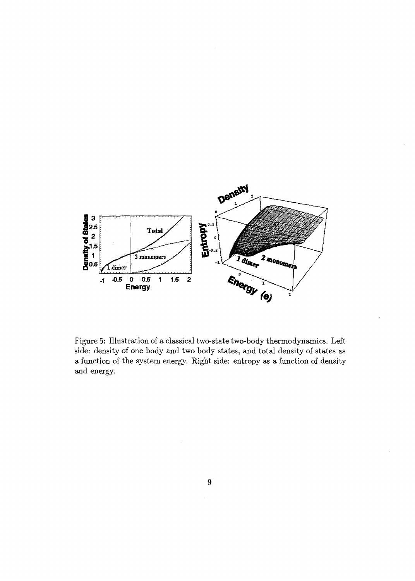

Figure 5: Illustration of a classical two-state two-body thermodynamics. Left side: density of one body and two body states, and total density of states as a function of the system energy. Right side: entropy as a function of density and energy.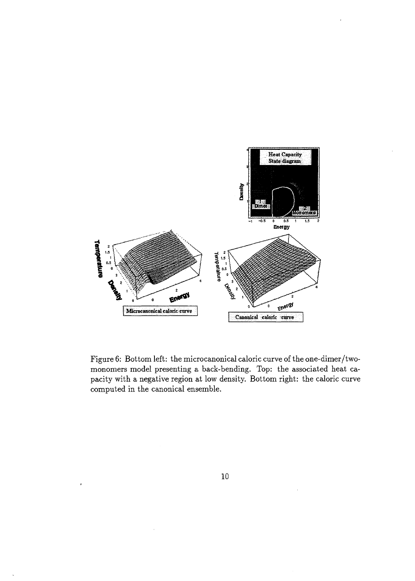

Figure 6: Bottom left: the microcanonical caloric curve of the one-dimer/twomonomers model presenting a back-bending. Top: the associated heat capacity with a negative region at low density. Bottom right: the caloric curve computed in the canonical ensemble.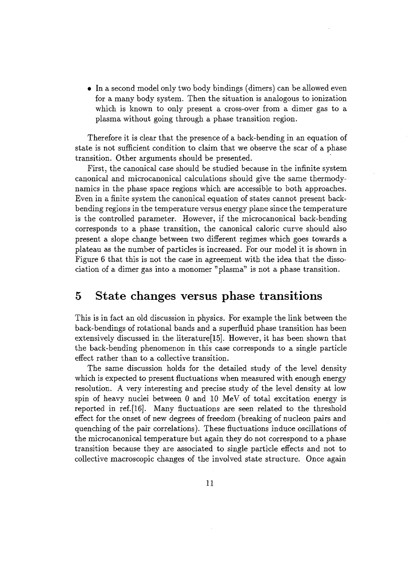• In a second model only two body bindings (dimers) can be allowed even for a many body system. Then the situation is analogous to ionization which is known to only present a cross-over from a dimer gas to a plasma without going through a phase transition region.

Therefore it is clear that the presence of a back-bending in an equation of state is not sufficient condition to claim that we observe the scar of a phase transition. Other arguments should be presented.

First, the canonical case should be studied because in the infinite system canonical and microcanonical calculations should give the same thermodynamics in the phase space regions which are accessible to both approaches. Even in a finite system the canonical equation of states cannot present backbending regions in the temperature versus energy plane since the temperature is the controlled parameter. However, if the microcanonical back-bending corresponds to a phase transition, the canonical caloric curve should also present a slope change between two different regimes which goes towards a plateau as the number of particles is increased. For our model it is shown in Figure 6 that this is not the case in agreement with the idea that the dissociation of a dimer gas into a monomer "plasma" is not a phase transition.

### 5 State changes versus phase transitions

This is in fact an old discussion in physics. For example the link between the back-bendings of rotational bands and a superfluid phase transition has been extensively discussed in the literature[15]. However, it has been shown that the back-bending phenomenon in this case corresponds to a single particle effect rather than to a collective transition.

The same discussion holds for the detailed study of the level density which is expected to present fluctuations when measured with enough energy resolution. A very interesting and precise study of the level density at low spin of heavy nuclei between 0 and 10 MeV of total excitation energy is reported in ref.[16]. Many fluctuations are seen related to the threshold effect for the onset of new degrees of freedom (breaking of nucleon pairs and quenching of the pair correlations). These fluctuations induce oscillations of the microcanonical temperature but again they do not correspond to a phase transition because they are associated to single particle effects and not to collective macroscopic changes of the involved state structure. Once again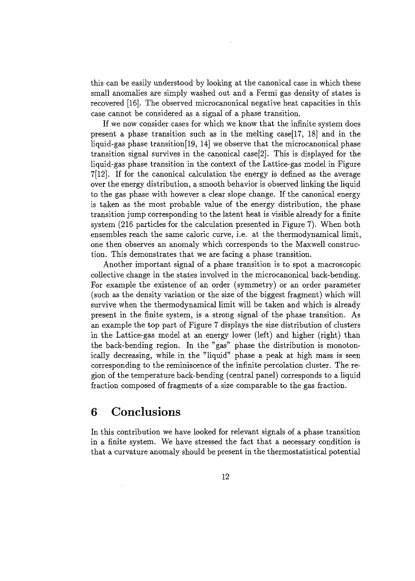this can be easily understood by looking at the canonical case in which these small anomalies are simply washed out and a Fermi gas density of states is recovered [16]. The observed microcanonical negative heat capacities in this case cannot be considered as a signal of a phase transition.

If we now consider cases for which we know that the infinite system does present a phase transition such as in the melting case  $[17, 18]$  and in the liquid-gas phase transition[19, 14] we observe that the microcanonical phase transition signal survives in the canonical case[2]. This is displayed for the liquid-gas phase transition in the context of the Lattice-gas model in Figure 7[12]. If for the canonical calculation the energy is defined as the average over the energy distribution, a smooth behavior is observed linking the liquid to the gas phase with however a clear slope change. If the canonical energy is taken as the most probable value of the energy distribution, the phase transition jump corresponding to the latent heat is visible already for a finite system (216 particles for the calculation presented in Figure 7). When both ensembles reach the same caloric curve, i.e. at the thermodynamical limit, one then observes an anomaly which corresponds to the Maxwell construction. This demonstrates that we are facing a phase transition.

Another important signal of a phase transition is to spot a macroscopic collective change in the states involved in the microcanonical back-bending. For example the existence of an order (symmetry) or an order parameter (such as the density variation or the size of the biggest fragment) which will survive when the thermodynamical limit will be taken and which is already present in the finite system, is a strong signal of the phase transition. As an example the top part of Figure 7 displays the size distribution of clusters in the Lattice-gas model at an energy lower (left) and higher (right) than the back-bending region. In the "gas" phase the distribution is monotonically decreasing, while in the "liquid" phase a peak at high mass is seen corresponding to the reminiscence of the infinite percolation cluster. The region of the temperature back-bending (central panel) corresponds to a liquid fraction composed of fragments of a size comparable to the gas fraction.

## 6 Conclusions

In this contribution we have looked for relevant signals of a phase transition in a finite system. We have stressed the fact that a necessary condition is that a curvature anomaly should be present in the thermostatistical potential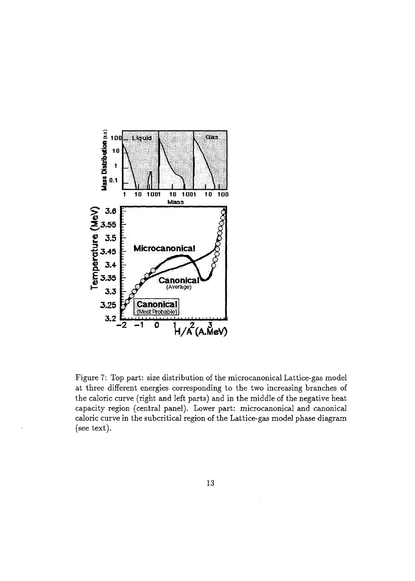

Figure 7: Top part: size distribution of the microcanonical Lattice-gas model at three different energies corresponding to the two increasing branches of the caloric curve (right and left parts) and in the middle of the negative heat capacity region (central panel). Lower part: microcanonical and canonical caloric curve in the subcritical region of the Lattice-gas model phase diagram (see text).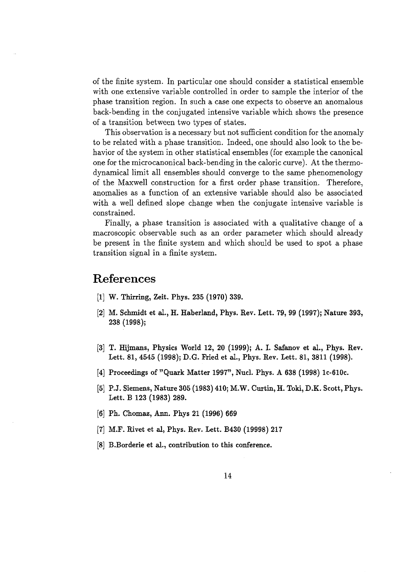of the finite system. In particular one should consider a statistical ensemble with one extensive variable controlled in order to sample the interior of the phase transition region. In such a case one expects to observe an anomalous back-bending in the conjugated intensive variable which shows the presence of a transition between two types of states.

This observation is a necessary but not sufficient condition for the anomaly to be related with a phase transition. Indeed, one should also look to the behavior of the system in other statistical ensembles (for example the canonical one for the microcanonical back-bending in the caloric curve). At the thermodynamical limit all ensembles should converge to the same phenomenology of the Maxwell construction for a first order phase transition. Therefore, anomalies as a function of an extensive variable should also be associated with a well defined slope change when the conjugate intensive variable is constrained.

Finally, a phase transition is associated with a qualitative change of a macroscopic observable such as an order parameter which should already be present in the finite system and which should be used to spot a phase transition signal in a finite system.

#### References

- [1] W. Thirring, Zeit. Phys. 235 (1970) 339.
- [2] M. Schmidt et al., H. Haberland, Phys. Rev. Lett. 79, 99 (1997); Nature 393, 238 (1998);
- [3] T. Hijmans, Physics World 12, 20 (1999); A. I. Safanov et al., Phys. Rev. Lett. 81, 4545 (1998); D.G. Fried et al., Phys. Rev. Lett. 81, 3811 (1998).
- [4] Proceedings of "Quark Matter 1997", Nucl. Phys. A 638 (1998) lc-610c.
- [5] P.J. Siemens, Nature 305 (1983) 410; M.W. Curtin, H. Toki, D.K. Scott, Phys. Lett. B 123 (1983) 289.
- [6] Ph. Chomaz, Ann. Phys 21 (1996) 669
- [7] M.F. Rivet et al, Phys. Rev. Lett. B430 (19998) 217
- [8] B.Borderie et al., contribution to this conference.